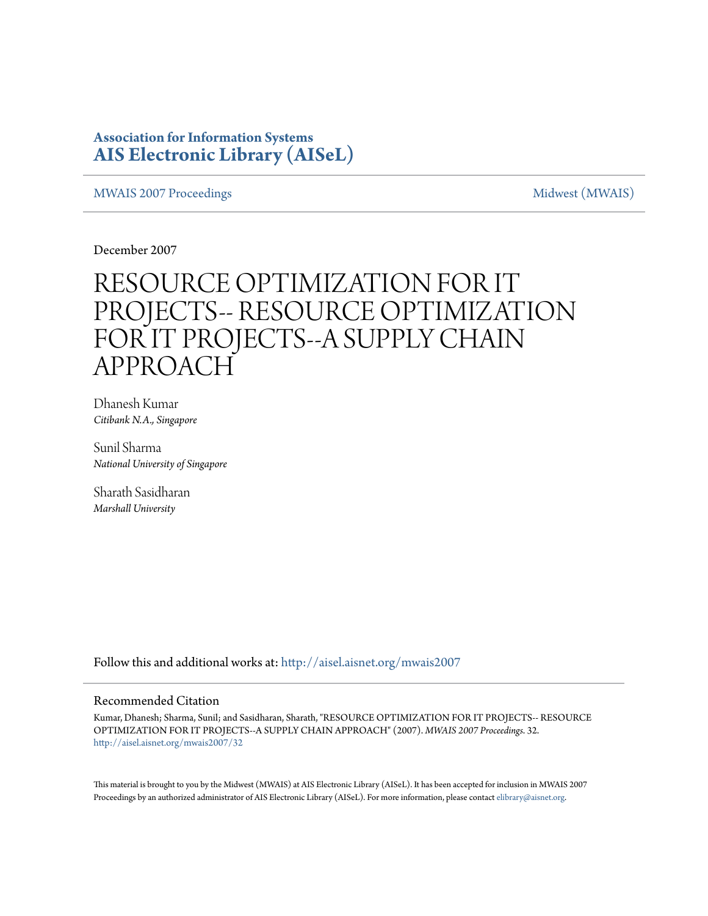# **Association for Information Systems [AIS Electronic Library \(AISeL\)](http://aisel.aisnet.org?utm_source=aisel.aisnet.org%2Fmwais2007%2F32&utm_medium=PDF&utm_campaign=PDFCoverPages)**

[MWAIS 2007 Proceedings](http://aisel.aisnet.org/mwais2007?utm_source=aisel.aisnet.org%2Fmwais2007%2F32&utm_medium=PDF&utm_campaign=PDFCoverPages) and the matrix of the [Midwest \(MWAIS\)](http://aisel.aisnet.org/mwais?utm_source=aisel.aisnet.org%2Fmwais2007%2F32&utm_medium=PDF&utm_campaign=PDFCoverPages)

December 2007

# RESOURCE OPTIMIZATION FOR IT PROJECTS-- RESOURCE OPTIMIZATION FOR IT PROJECTS--A SUPPLY CHAIN APPROACH

Dhanesh Kumar *Citibank N.A., Singapore*

Sunil Sharma *National University of Singapore*

Sharath Sasidharan *Marshall University*

Follow this and additional works at: [http://aisel.aisnet.org/mwais2007](http://aisel.aisnet.org/mwais2007?utm_source=aisel.aisnet.org%2Fmwais2007%2F32&utm_medium=PDF&utm_campaign=PDFCoverPages)

#### Recommended Citation

Kumar, Dhanesh; Sharma, Sunil; and Sasidharan, Sharath, "RESOURCE OPTIMIZATION FOR IT PROJECTS-- RESOURCE OPTIMIZATION FOR IT PROJECTS--A SUPPLY CHAIN APPROACH" (2007). *MWAIS 2007 Proceedings*. 32. [http://aisel.aisnet.org/mwais2007/32](http://aisel.aisnet.org/mwais2007/32?utm_source=aisel.aisnet.org%2Fmwais2007%2F32&utm_medium=PDF&utm_campaign=PDFCoverPages)

This material is brought to you by the Midwest (MWAIS) at AIS Electronic Library (AISeL). It has been accepted for inclusion in MWAIS 2007 Proceedings by an authorized administrator of AIS Electronic Library (AISeL). For more information, please contact [elibrary@aisnet.org](mailto:elibrary@aisnet.org%3E).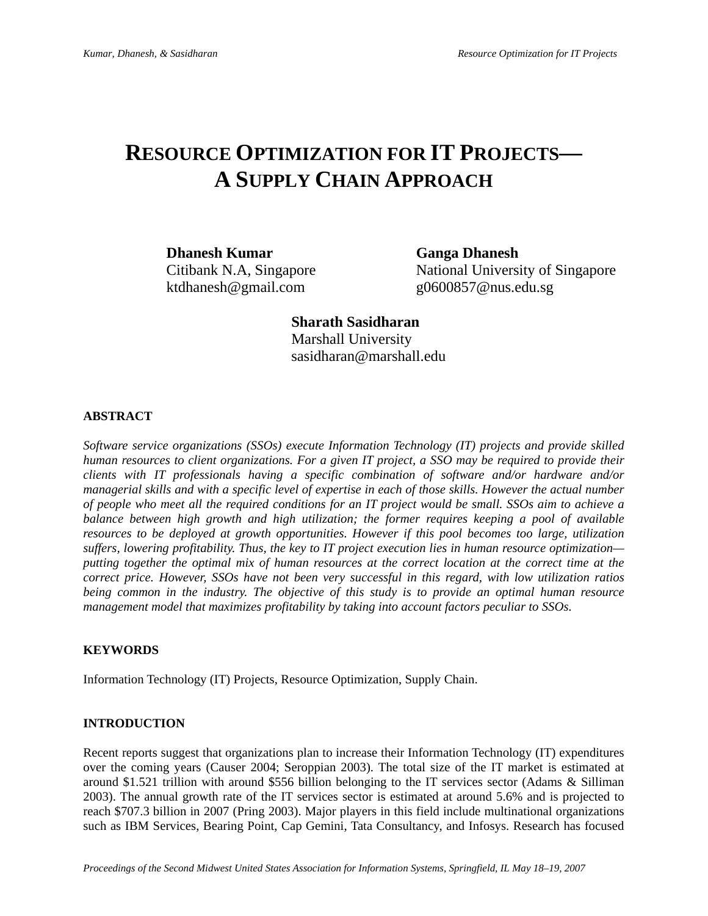# **RESOURCE OPTIMIZATION FOR IT PROJECTS— A SUPPLY CHAIN APPROACH**

**Dhanesh Kumar Ganga Dhanesh**  ktdhanesh@gmail.com g0600857@nus.edu.sg

Citibank N.A, Singapore National University of Singapore

 **Sharath Sasidharan** Marshall University sasidharan@marshall.edu

# **ABSTRACT**

*Software service organizations (SSOs) execute Information Technology (IT) projects and provide skilled human resources to client organizations. For a given IT project, a SSO may be required to provide their clients with IT professionals having a specific combination of software and/or hardware and/or managerial skills and with a specific level of expertise in each of those skills. However the actual number of people who meet all the required conditions for an IT project would be small. SSOs aim to achieve a balance between high growth and high utilization; the former requires keeping a pool of available resources to be deployed at growth opportunities. However if this pool becomes too large, utilization suffers, lowering profitability. Thus, the key to IT project execution lies in human resource optimization putting together the optimal mix of human resources at the correct location at the correct time at the correct price. However, SSOs have not been very successful in this regard, with low utilization ratios being common in the industry. The objective of this study is to provide an optimal human resource management model that maximizes profitability by taking into account factors peculiar to SSOs.* 

# **KEYWORDS**

Information Technology (IT) Projects, Resource Optimization, Supply Chain.

# **INTRODUCTION**

Recent reports suggest that organizations plan to increase their Information Technology (IT) expenditures over the coming years (Causer 2004; Seroppian 2003). The total size of the IT market is estimated at around \$1.521 trillion with around \$556 billion belonging to the IT services sector (Adams & Silliman 2003). The annual growth rate of the IT services sector is estimated at around 5.6% and is projected to reach \$707.3 billion in 2007 (Pring 2003). Major players in this field include multinational organizations such as IBM Services, Bearing Point, Cap Gemini, Tata Consultancy, and Infosys. Research has focused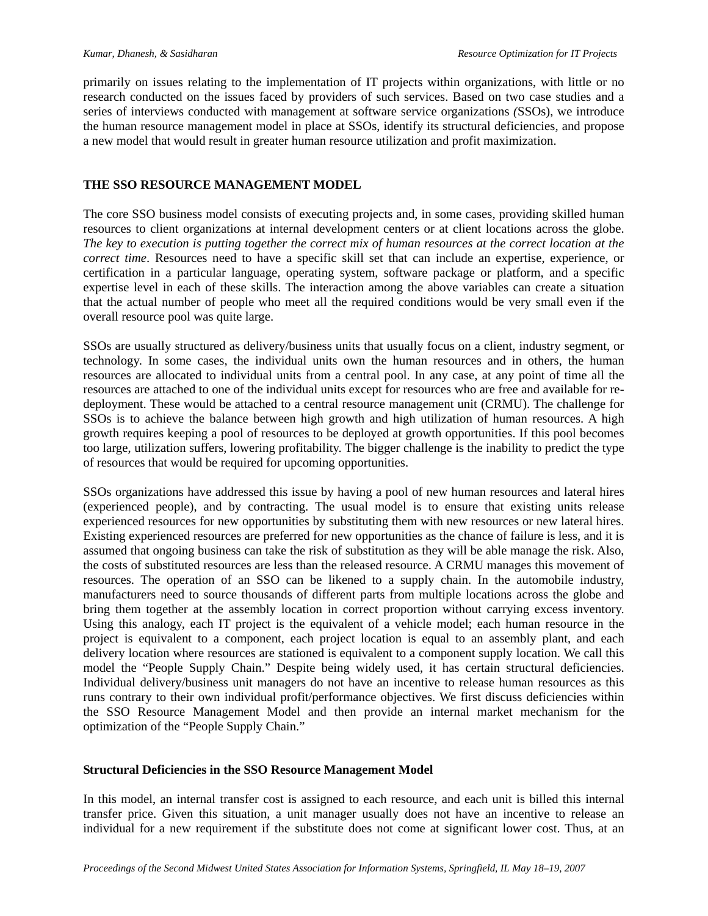primarily on issues relating to the implementation of IT projects within organizations, with little or no research conducted on the issues faced by providers of such services. Based on two case studies and a series of interviews conducted with management at software service organizations *(*SSOs), we introduce the human resource management model in place at SSOs, identify its structural deficiencies, and propose a new model that would result in greater human resource utilization and profit maximization.

# **THE SSO RESOURCE MANAGEMENT MODEL**

The core SSO business model consists of executing projects and, in some cases, providing skilled human resources to client organizations at internal development centers or at client locations across the globe. *The key to execution is putting together the correct mix of human resources at the correct location at the correct time*. Resources need to have a specific skill set that can include an expertise, experience, or certification in a particular language, operating system, software package or platform, and a specific expertise level in each of these skills. The interaction among the above variables can create a situation that the actual number of people who meet all the required conditions would be very small even if the overall resource pool was quite large.

SSOs are usually structured as delivery/business units that usually focus on a client, industry segment, or technology. In some cases, the individual units own the human resources and in others, the human resources are allocated to individual units from a central pool. In any case, at any point of time all the resources are attached to one of the individual units except for resources who are free and available for redeployment. These would be attached to a central resource management unit (CRMU). The challenge for SSOs is to achieve the balance between high growth and high utilization of human resources. A high growth requires keeping a pool of resources to be deployed at growth opportunities. If this pool becomes too large, utilization suffers, lowering profitability. The bigger challenge is the inability to predict the type of resources that would be required for upcoming opportunities.

SSOs organizations have addressed this issue by having a pool of new human resources and lateral hires (experienced people), and by contracting. The usual model is to ensure that existing units release experienced resources for new opportunities by substituting them with new resources or new lateral hires. Existing experienced resources are preferred for new opportunities as the chance of failure is less, and it is assumed that ongoing business can take the risk of substitution as they will be able manage the risk. Also, the costs of substituted resources are less than the released resource. A CRMU manages this movement of resources. The operation of an SSO can be likened to a supply chain. In the automobile industry, manufacturers need to source thousands of different parts from multiple locations across the globe and bring them together at the assembly location in correct proportion without carrying excess inventory. Using this analogy, each IT project is the equivalent of a vehicle model; each human resource in the project is equivalent to a component, each project location is equal to an assembly plant, and each delivery location where resources are stationed is equivalent to a component supply location. We call this model the "People Supply Chain." Despite being widely used, it has certain structural deficiencies. Individual delivery/business unit managers do not have an incentive to release human resources as this runs contrary to their own individual profit/performance objectives. We first discuss deficiencies within the SSO Resource Management Model and then provide an internal market mechanism for the optimization of the "People Supply Chain."

# **Structural Deficiencies in the SSO Resource Management Model**

In this model, an internal transfer cost is assigned to each resource, and each unit is billed this internal transfer price. Given this situation, a unit manager usually does not have an incentive to release an individual for a new requirement if the substitute does not come at significant lower cost. Thus, at an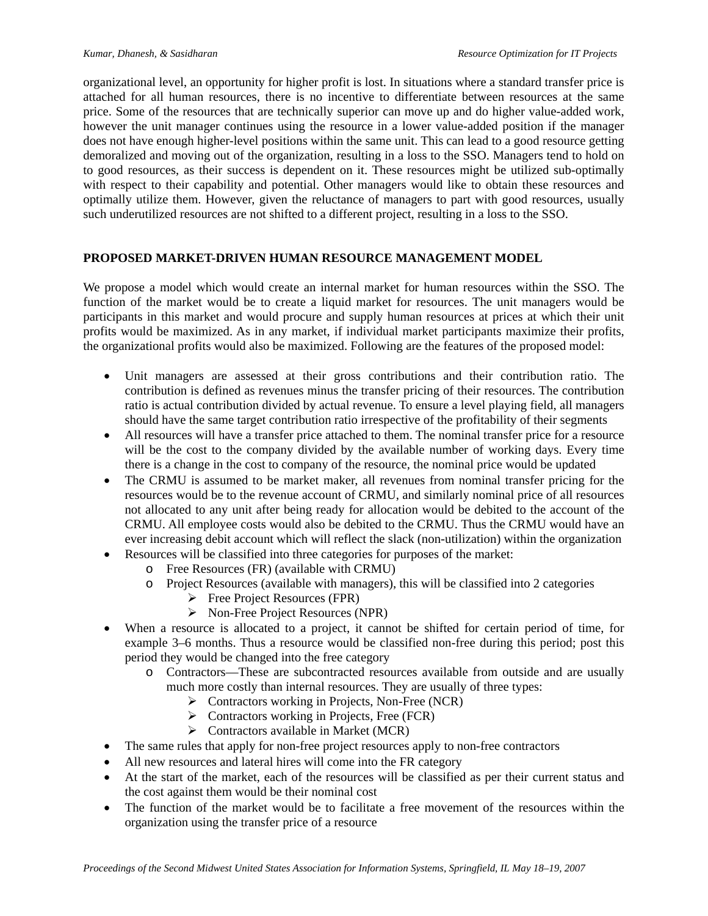organizational level, an opportunity for higher profit is lost. In situations where a standard transfer price is attached for all human resources, there is no incentive to differentiate between resources at the same price. Some of the resources that are technically superior can move up and do higher value-added work, however the unit manager continues using the resource in a lower value-added position if the manager does not have enough higher-level positions within the same unit. This can lead to a good resource getting demoralized and moving out of the organization, resulting in a loss to the SSO. Managers tend to hold on to good resources, as their success is dependent on it. These resources might be utilized sub-optimally with respect to their capability and potential. Other managers would like to obtain these resources and optimally utilize them. However, given the reluctance of managers to part with good resources, usually such underutilized resources are not shifted to a different project, resulting in a loss to the SSO.

# **PROPOSED MARKET-DRIVEN HUMAN RESOURCE MANAGEMENT MODEL**

We propose a model which would create an internal market for human resources within the SSO. The function of the market would be to create a liquid market for resources. The unit managers would be participants in this market and would procure and supply human resources at prices at which their unit profits would be maximized. As in any market, if individual market participants maximize their profits, the organizational profits would also be maximized. Following are the features of the proposed model:

- Unit managers are assessed at their gross contributions and their contribution ratio. The contribution is defined as revenues minus the transfer pricing of their resources. The contribution ratio is actual contribution divided by actual revenue. To ensure a level playing field, all managers should have the same target contribution ratio irrespective of the profitability of their segments
- All resources will have a transfer price attached to them. The nominal transfer price for a resource will be the cost to the company divided by the available number of working days. Every time there is a change in the cost to company of the resource, the nominal price would be updated
- The CRMU is assumed to be market maker, all revenues from nominal transfer pricing for the resources would be to the revenue account of CRMU, and similarly nominal price of all resources not allocated to any unit after being ready for allocation would be debited to the account of the CRMU. All employee costs would also be debited to the CRMU. Thus the CRMU would have an ever increasing debit account which will reflect the slack (non-utilization) within the organization
- Resources will be classified into three categories for purposes of the market:
	- o Free Resources (FR) (available with CRMU)
	- o Project Resources (available with managers), this will be classified into 2 categories
		- $\triangleright$  Free Project Resources (FPR)
		- ¾ Non-Free Project Resources (NPR)
- When a resource is allocated to a project, it cannot be shifted for certain period of time, for example 3–6 months. Thus a resource would be classified non-free during this period; post this period they would be changed into the free category
	- o Contractors—These are subcontracted resources available from outside and are usually much more costly than internal resources. They are usually of three types:
		- $\triangleright$  Contractors working in Projects, Non-Free (NCR)
		- $\triangleright$  Contractors working in Projects, Free (FCR)
		- $\triangleright$  Contractors available in Market (MCR)
- The same rules that apply for non-free project resources apply to non-free contractors
- All new resources and lateral hires will come into the FR category
- At the start of the market, each of the resources will be classified as per their current status and the cost against them would be their nominal cost
- The function of the market would be to facilitate a free movement of the resources within the organization using the transfer price of a resource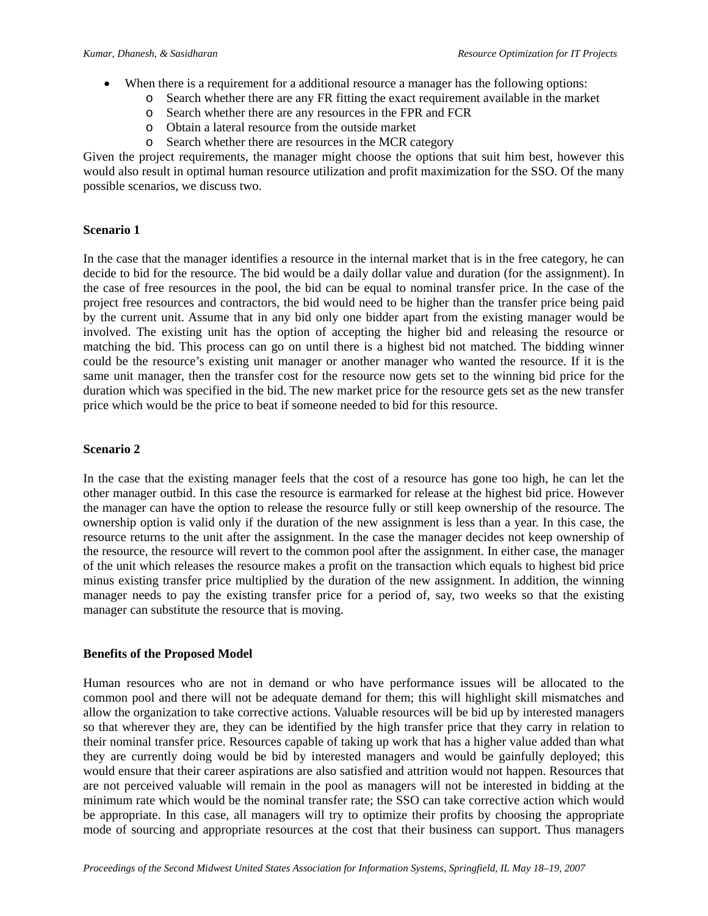- When there is a requirement for a additional resource a manager has the following options:
	- o Search whether there are any FR fitting the exact requirement available in the market
	- o Search whether there are any resources in the FPR and FCR
	- o Obtain a lateral resource from the outside market
	- o Search whether there are resources in the MCR category

Given the project requirements, the manager might choose the options that suit him best, however this would also result in optimal human resource utilization and profit maximization for the SSO. Of the many possible scenarios, we discuss two.

#### **Scenario 1**

In the case that the manager identifies a resource in the internal market that is in the free category, he can decide to bid for the resource. The bid would be a daily dollar value and duration (for the assignment). In the case of free resources in the pool, the bid can be equal to nominal transfer price. In the case of the project free resources and contractors, the bid would need to be higher than the transfer price being paid by the current unit. Assume that in any bid only one bidder apart from the existing manager would be involved. The existing unit has the option of accepting the higher bid and releasing the resource or matching the bid. This process can go on until there is a highest bid not matched. The bidding winner could be the resource's existing unit manager or another manager who wanted the resource. If it is the same unit manager, then the transfer cost for the resource now gets set to the winning bid price for the duration which was specified in the bid. The new market price for the resource gets set as the new transfer price which would be the price to beat if someone needed to bid for this resource.

# **Scenario 2**

In the case that the existing manager feels that the cost of a resource has gone too high, he can let the other manager outbid. In this case the resource is earmarked for release at the highest bid price. However the manager can have the option to release the resource fully or still keep ownership of the resource. The ownership option is valid only if the duration of the new assignment is less than a year. In this case, the resource returns to the unit after the assignment. In the case the manager decides not keep ownership of the resource, the resource will revert to the common pool after the assignment. In either case, the manager of the unit which releases the resource makes a profit on the transaction which equals to highest bid price minus existing transfer price multiplied by the duration of the new assignment. In addition, the winning manager needs to pay the existing transfer price for a period of, say, two weeks so that the existing manager can substitute the resource that is moving.

#### **Benefits of the Proposed Model**

Human resources who are not in demand or who have performance issues will be allocated to the common pool and there will not be adequate demand for them; this will highlight skill mismatches and allow the organization to take corrective actions. Valuable resources will be bid up by interested managers so that wherever they are, they can be identified by the high transfer price that they carry in relation to their nominal transfer price. Resources capable of taking up work that has a higher value added than what they are currently doing would be bid by interested managers and would be gainfully deployed; this would ensure that their career aspirations are also satisfied and attrition would not happen. Resources that are not perceived valuable will remain in the pool as managers will not be interested in bidding at the minimum rate which would be the nominal transfer rate; the SSO can take corrective action which would be appropriate. In this case, all managers will try to optimize their profits by choosing the appropriate mode of sourcing and appropriate resources at the cost that their business can support. Thus managers